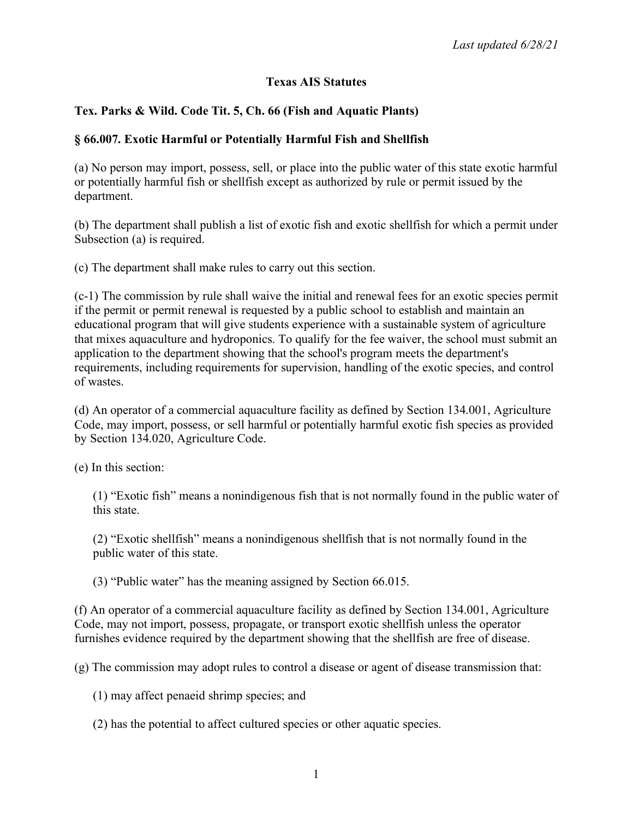## **Texas AIS Statutes**

### **Tex. Parks & Wild. Code Tit. 5, Ch. 66 (Fish and Aquatic Plants)**

#### **§ 66.007. Exotic Harmful or Potentially Harmful Fish and Shellfish**

(a) No person may import, possess, sell, or place into the public water of this state exotic harmful or potentially harmful fish or shellfish except as authorized by rule or permit issued by the department.

(b) The department shall publish a list of exotic fish and exotic shellfish for which a permit under Subsection (a) is required.

(c) The department shall make rules to carry out this section.

(c-1) The commission by rule shall waive the initial and renewal fees for an exotic species permit if the permit or permit renewal is requested by a public school to establish and maintain an educational program that will give students experience with a sustainable system of agriculture that mixes aquaculture and hydroponics. To qualify for the fee waiver, the school must submit an application to the department showing that the school's program meets the department's requirements, including requirements for supervision, handling of the exotic species, and control of wastes.

(d) An operator of a commercial aquaculture facility as defined by Section 134.001, Agriculture Code, may import, possess, or sell harmful or potentially harmful exotic fish species as provided by Section 134.020, Agriculture Code.

(e) In this section:

(1) "Exotic fish" means a nonindigenous fish that is not normally found in the public water of this state.

(2) "Exotic shellfish" means a nonindigenous shellfish that is not normally found in the public water of this state.

(3) "Public water" has the meaning assigned by Section 66.015.

(f) An operator of a commercial aquaculture facility as defined by Section 134.001, Agriculture Code, may not import, possess, propagate, or transport exotic shellfish unless the operator furnishes evidence required by the department showing that the shellfish are free of disease.

(g) The commission may adopt rules to control a disease or agent of disease transmission that:

(1) may affect penaeid shrimp species; and

(2) has the potential to affect cultured species or other aquatic species.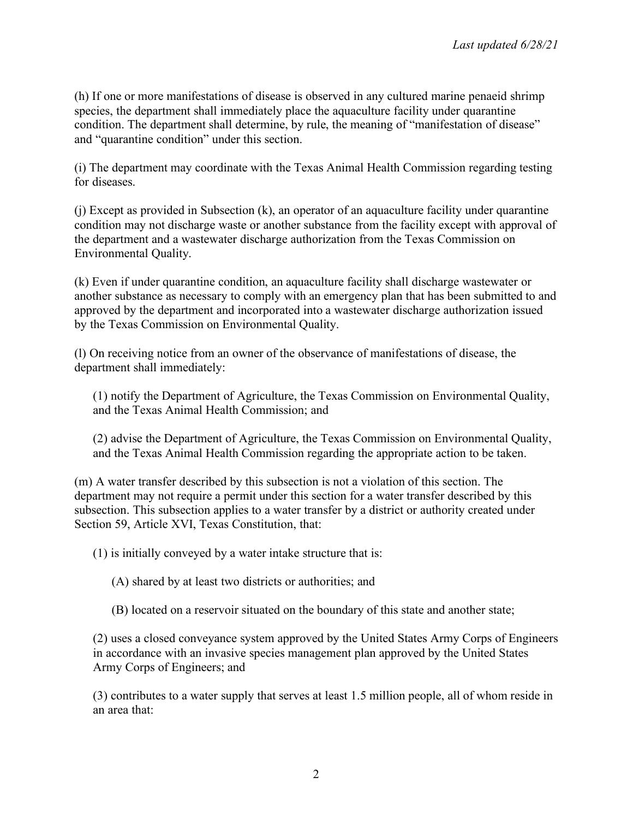(h) If one or more manifestations of disease is observed in any cultured marine penaeid shrimp species, the department shall immediately place the aquaculture facility under quarantine condition. The department shall determine, by rule, the meaning of "manifestation of disease" and "quarantine condition" under this section.

(i) The department may coordinate with the Texas Animal Health Commission regarding testing for diseases.

(j) Except as provided in Subsection (k), an operator of an aquaculture facility under quarantine condition may not discharge waste or another substance from the facility except with approval of the department and a wastewater discharge authorization from the Texas Commission on Environmental Quality.

(k) Even if under quarantine condition, an aquaculture facility shall discharge wastewater or another substance as necessary to comply with an emergency plan that has been submitted to and approved by the department and incorporated into a wastewater discharge authorization issued by the Texas Commission on Environmental Quality.

(l) On receiving notice from an owner of the observance of manifestations of disease, the department shall immediately:

(1) notify the Department of Agriculture, the Texas Commission on Environmental Quality, and the Texas Animal Health Commission; and

(2) advise the Department of Agriculture, the Texas Commission on Environmental Quality, and the Texas Animal Health Commission regarding the appropriate action to be taken.

(m) A water transfer described by this subsection is not a violation of this section. The department may not require a permit under this section for a water transfer described by this subsection. This subsection applies to a water transfer by a district or authority created under Section 59, Article XVI, Texas Constitution, that:

(1) is initially conveyed by a water intake structure that is:

- (A) shared by at least two districts or authorities; and
- (B) located on a reservoir situated on the boundary of this state and another state;

(2) uses a closed conveyance system approved by the United States Army Corps of Engineers in accordance with an invasive species management plan approved by the United States Army Corps of Engineers; and

(3) contributes to a water supply that serves at least 1.5 million people, all of whom reside in an area that: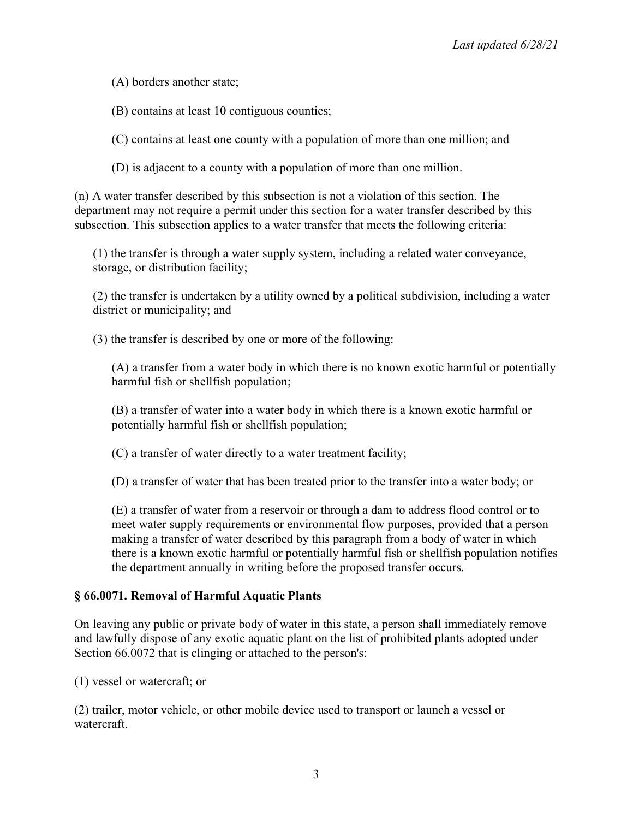(A) borders another state;

(B) contains at least 10 contiguous counties;

(C) contains at least one county with a population of more than one million; and

(D) is adjacent to a county with a population of more than one million.

(n) A water transfer described by this subsection is not a violation of this section. The department may not require a permit under this section for a water transfer described by this subsection. This subsection applies to a water transfer that meets the following criteria:

(1) the transfer is through a water supply system, including a related water conveyance, storage, or distribution facility;

(2) the transfer is undertaken by a utility owned by a political subdivision, including a water district or municipality; and

(3) the transfer is described by one or more of the following:

(A) a transfer from a water body in which there is no known exotic harmful or potentially harmful fish or shellfish population;

(B) a transfer of water into a water body in which there is a known exotic harmful or potentially harmful fish or shellfish population;

(C) a transfer of water directly to a water treatment facility;

(D) a transfer of water that has been treated prior to the transfer into a water body; or

(E) a transfer of water from a reservoir or through a dam to address flood control or to meet water supply requirements or environmental flow purposes, provided that a person making a transfer of water described by this paragraph from a body of water in which there is a known exotic harmful or potentially harmful fish or shellfish population notifies the department annually in writing before the proposed transfer occurs.

# **§ 66.0071. Removal of Harmful Aquatic Plants**

On leaving any public or private body of water in this state, a person shall immediately remove and lawfully dispose of any exotic aquatic plant on the list of prohibited plants adopted under Section 66.0072 that is clinging or attached to the person's:

(1) vessel or watercraft; or

(2) trailer, motor vehicle, or other mobile device used to transport or launch a vessel or watercraft.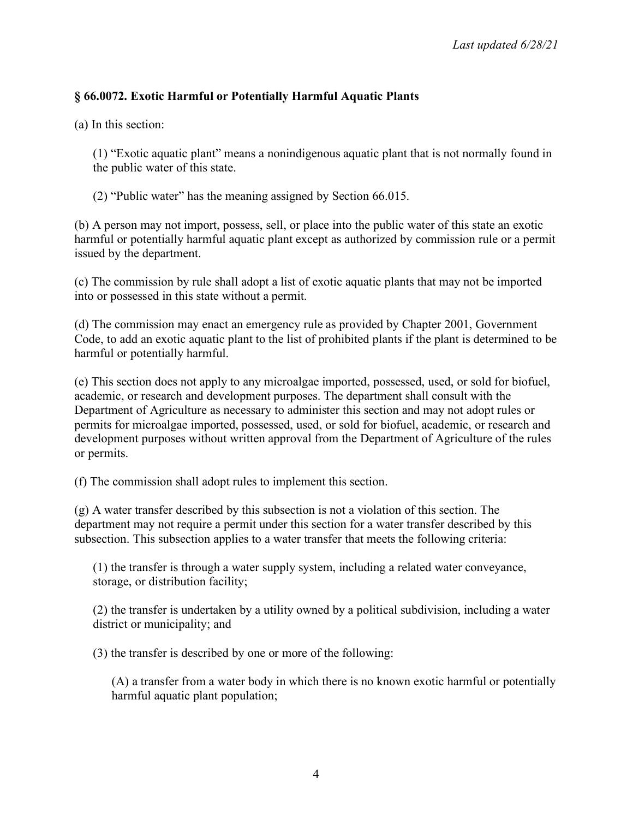## **§ 66.0072. Exotic Harmful or Potentially Harmful Aquatic Plants**

(a) In this section:

(1) "Exotic aquatic plant" means a nonindigenous aquatic plant that is not normally found in the public water of this state.

(2) "Public water" has the meaning assigned by Section 66.015.

(b) A person may not import, possess, sell, or place into the public water of this state an exotic harmful or potentially harmful aquatic plant except as authorized by commission rule or a permit issued by the department.

(c) The commission by rule shall adopt a list of exotic aquatic plants that may not be imported into or possessed in this state without a permit.

(d) The commission may enact an emergency rule as provided by Chapter 2001, Government Code, to add an exotic aquatic plant to the list of prohibited plants if the plant is determined to be harmful or potentially harmful.

(e) This section does not apply to any microalgae imported, possessed, used, or sold for biofuel, academic, or research and development purposes. The department shall consult with the Department of Agriculture as necessary to administer this section and may not adopt rules or permits for microalgae imported, possessed, used, or sold for biofuel, academic, or research and development purposes without written approval from the Department of Agriculture of the rules or permits.

(f) The commission shall adopt rules to implement this section.

(g) A water transfer described by this subsection is not a violation of this section. The department may not require a permit under this section for a water transfer described by this subsection. This subsection applies to a water transfer that meets the following criteria:

(1) the transfer is through a water supply system, including a related water conveyance, storage, or distribution facility;

(2) the transfer is undertaken by a utility owned by a political subdivision, including a water district or municipality; and

(3) the transfer is described by one or more of the following:

(A) a transfer from a water body in which there is no known exotic harmful or potentially harmful aquatic plant population;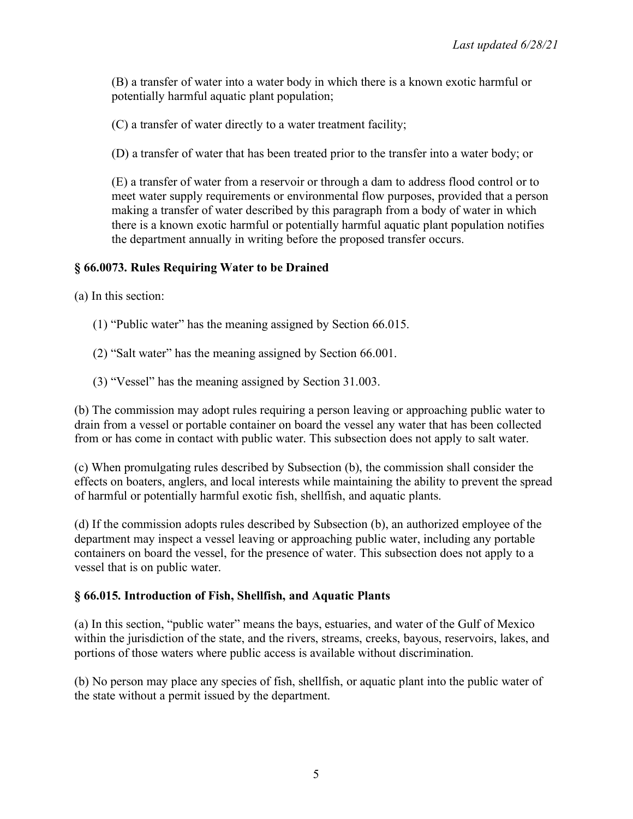(B) a transfer of water into a water body in which there is a known exotic harmful or potentially harmful aquatic plant population;

(C) a transfer of water directly to a water treatment facility;

(D) a transfer of water that has been treated prior to the transfer into a water body; or

(E) a transfer of water from a reservoir or through a dam to address flood control or to meet water supply requirements or environmental flow purposes, provided that a person making a transfer of water described by this paragraph from a body of water in which there is a known exotic harmful or potentially harmful aquatic plant population notifies the department annually in writing before the proposed transfer occurs.

### **§ 66.0073. Rules Requiring Water to be Drained**

(a) In this section:

- (1) "Public water" has the meaning assigned by Section 66.015.
- (2) "Salt water" has the meaning assigned by Section 66.001.
- (3) "Vessel" has the meaning assigned by Section 31.003.

(b) The commission may adopt rules requiring a person leaving or approaching public water to drain from a vessel or portable container on board the vessel any water that has been collected from or has come in contact with public water. This subsection does not apply to salt water.

(c) When promulgating rules described by Subsection (b), the commission shall consider the effects on boaters, anglers, and local interests while maintaining the ability to prevent the spread of harmful or potentially harmful exotic fish, shellfish, and aquatic plants.

(d) If the commission adopts rules described by Subsection (b), an authorized employee of the department may inspect a vessel leaving or approaching public water, including any portable containers on board the vessel, for the presence of water. This subsection does not apply to a vessel that is on public water.

## **§ 66.015. Introduction of Fish, Shellfish, and Aquatic Plants**

(a) In this section, "public water" means the bays, estuaries, and water of the Gulf of Mexico within the jurisdiction of the state, and the rivers, streams, creeks, bayous, reservoirs, lakes, and portions of those waters where public access is available without discrimination.

(b) No person may place any species of fish, shellfish, or aquatic plant into the public water of the state without a permit issued by the department.